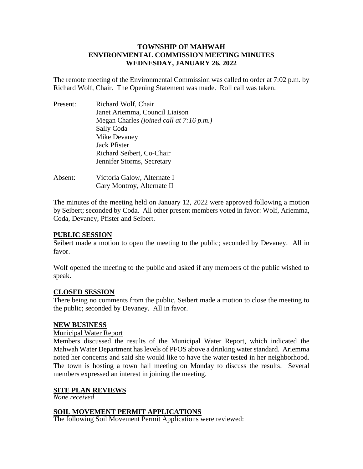# **TOWNSHIP OF MAHWAH ENVIRONMENTAL COMMISSION MEETING MINUTES WEDNESDAY, JANUARY 26, 2022**

The remote meeting of the Environmental Commission was called to order at 7:02 p.m. by Richard Wolf, Chair. The Opening Statement was made. Roll call was taken.

| Present: | Richard Wolf, Chair                             |
|----------|-------------------------------------------------|
|          | Janet Ariemma, Council Liaison                  |
|          | Megan Charles <i>(joined call at 7:16 p.m.)</i> |
|          | Sally Coda                                      |
|          | Mike Devaney                                    |
|          | <b>Jack Pfister</b>                             |
|          | Richard Seibert, Co-Chair                       |
|          | Jennifer Storms, Secretary                      |
| Absent:  | Victoria Galow, Alternate I                     |

Gary Montroy, Alternate II

The minutes of the meeting held on January 12, 2022 were approved following a motion by Seibert; seconded by Coda. All other present members voted in favor: Wolf, Ariemma, Coda, Devaney, Pfister and Seibert.

### **PUBLIC SESSION**

Seibert made a motion to open the meeting to the public; seconded by Devaney. All in favor.

Wolf opened the meeting to the public and asked if any members of the public wished to speak.

# **CLOSED SESSION**

There being no comments from the public, Seibert made a motion to close the meeting to the public; seconded by Devaney. All in favor.

### **NEW BUSINESS**

### Municipal Water Report

Members discussed the results of the Municipal Water Report, which indicated the Mahwah Water Department has levels of PFOS above a drinking water standard. Ariemma noted her concerns and said she would like to have the water tested in her neighborhood. The town is hosting a town hall meeting on Monday to discuss the results. Several members expressed an interest in joining the meeting.

### **SITE PLAN REVIEWS**

*None received*

### **SOIL MOVEMENT PERMIT APPLICATIONS**

The following Soil Movement Permit Applications were reviewed: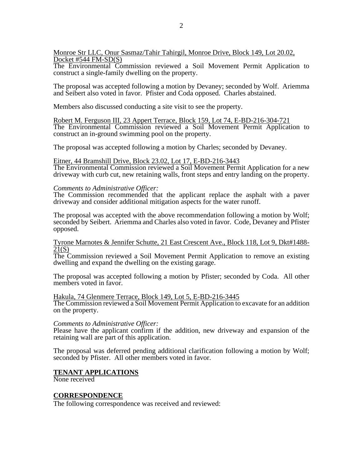Monroe Str LLC, Onur Sasmaz/Tahir Tahirgil, Monroe Drive, Block 149, Lot 20.02, Docket #544 FM-SD(S)

The Environmental Commission reviewed a Soil Movement Permit Application to construct a single-family dwelling on the property.

The proposal was accepted following a motion by Devaney; seconded by Wolf. Ariemma and Seibert also voted in favor. Pfister and Coda opposed. Charles abstained.

Members also discussed conducting a site visit to see the property.

Robert M. Ferguson III, 23 Appert Terrace, Block 159, Lot 74, E-BD-216-304-721 The Environmental Commission reviewed a Soil Movement Permit Application to construct an in-ground swimming pool on the property.

The proposal was accepted following a motion by Charles; seconded by Devaney.

#### Eitner, 44 Bramshill Drive, Block 23.02, Lot 17, E-BD-216-3443

The Environmental Commission reviewed a Soil Movement Permit Application for a new driveway with curb cut, new retaining walls, front steps and entry landing on the property.

#### *Comments to Administrative Officer:*

The Commission recommended that the applicant replace the asphalt with a paver driveway and consider additional mitigation aspects for the water runoff.

The proposal was accepted with the above recommendation following a motion by Wolf; seconded by Seibert. Ariemma and Charles also voted in favor. Code, Devaney and Pfister opposed.

#### Tyrone Marnotes & Jennifer Schutte, 21 East Crescent Ave., Block 118, Lot 9, Dkt#1488-  $\overline{2}$  $\overline{1}(S)$

The Commission reviewed a Soil Movement Permit Application to remove an existing dwelling and expand the dwelling on the existing garage.

The proposal was accepted following a motion by Pfister; seconded by Coda. All other members voted in favor.

Hakula, 74 Glenmere Terrace, Block 149, Lot 5, E-BD-216-3445 The Commission reviewed a Soil Movement Permit Application to excavate for an addition on the property.

### *Comments to Administrative Officer:*

Please have the applicant confirm if the addition, new driveway and expansion of the retaining wall are part of this application.

The proposal was deferred pending additional clarification following a motion by Wolf; seconded by Pfister. All other members voted in favor.

### **TENANT APPLICATIONS**

None received

### **CORRESPONDENCE**

The following correspondence was received and reviewed: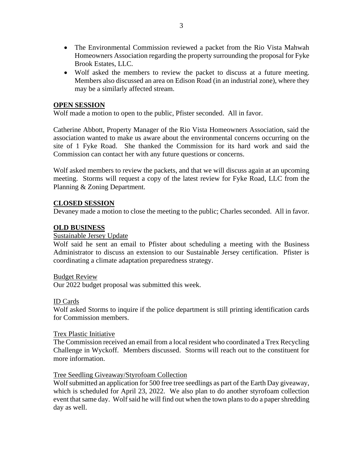- The Environmental Commission reviewed a packet from the Rio Vista Mahwah Homeowners Association regarding the property surrounding the proposal for Fyke Brook Estates, LLC.
- Wolf asked the members to review the packet to discuss at a future meeting. Members also discussed an area on Edison Road (in an industrial zone), where they may be a similarly affected stream.

# **OPEN SESSION**

Wolf made a motion to open to the public, Pfister seconded. All in favor.

Catherine Abbott, Property Manager of the Rio Vista Homeowners Association, said the association wanted to make us aware about the environmental concerns occurring on the site of 1 Fyke Road. She thanked the Commission for its hard work and said the Commission can contact her with any future questions or concerns.

Wolf asked members to review the packets, and that we will discuss again at an upcoming meeting. Storms will request a copy of the latest review for Fyke Road, LLC from the Planning & Zoning Department.

# **CLOSED SESSION**

Devaney made a motion to close the meeting to the public; Charles seconded. All in favor.

# **OLD BUSINESS**

# Sustainable Jersey Update

Wolf said he sent an email to Pfister about scheduling a meeting with the Business Administrator to discuss an extension to our Sustainable Jersey certification. Pfister is coordinating a climate adaptation preparedness strategy.

# Budget Review

Our 2022 budget proposal was submitted this week.

# ID Cards

Wolf asked Storms to inquire if the police department is still printing identification cards for Commission members.

# Trex Plastic Initiative

The Commission received an email from a local resident who coordinated a Trex Recycling Challenge in Wyckoff. Members discussed. Storms will reach out to the constituent for more information.

# Tree Seedling Giveaway/Styrofoam Collection

Wolf submitted an application for 500 free tree seedlings as part of the Earth Day giveaway, which is scheduled for April 23, 2022. We also plan to do another styrofoam collection event that same day. Wolf said he will find out when the town plans to do a paper shredding day as well.